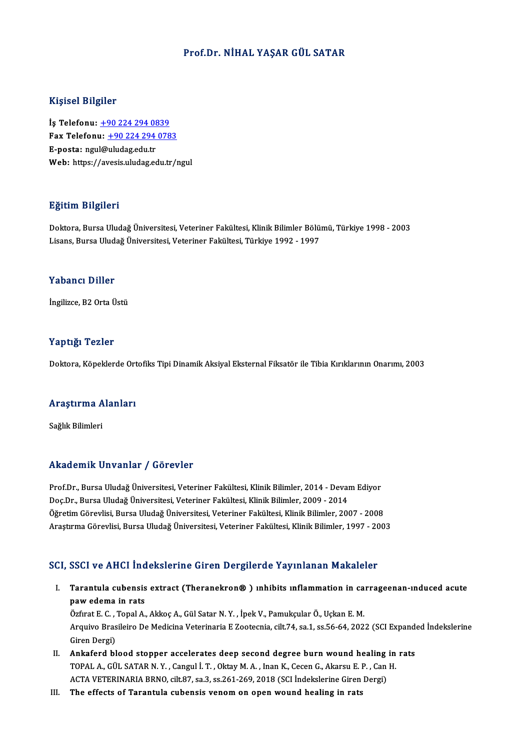#### Prof.Dr.NİHAL YAŞAR GÜL SATAR

#### Kişisel Bilgiler

Kişisel Bilgiler<br>İş Telefonu: <u>+90 224 294 0839</u><br>Fax Telefonu: 190 224 294 078 1191001 D1151101<br>İş Telefonu: <u>+90 224 294 0839</u><br>Fax Telefonu: <u>+90 224 294 0783</u> İş Telefonu: <u>+90 224 294 08</u><br>Fax Telefonu: <u>+90 224 294</u><br>E-posta: ngu[l@](tel:+90 224 294 0839)[uludag.edu.tr](tel:+90 224 294 0783)<br>Web: https://avesis.uludag.ed Fax Telefonu: <u>+90 224 294 0783</u><br>E-posta: ngul@uludag.edu.tr<br>Web: https://avesis.uludag.edu.tr/ngul

#### Eğitim Bilgileri

<mark>Eğitim Bilgileri</mark><br>Doktora, Bursa Uludağ Üniversitesi, Veteriner Fakültesi, Klinik Bilimler Bölümü, Türkiye 1998 - 2003<br>Lisans, Bursa Uludağ Üniversitesi, Veteriner Fakültesi, Türkiye 1992, 1997 Lisans, Burgalor<br>Doktora, Bursa Uludağ Üniversitesi, Veteriner Fakültesi, Klinik Bilimler Bölü:<br>Lisans, Bursa Uludağ Üniversitesi, Veteriner Fakültesi, Türkiye 1992 - 1997 Lisans, Bursa Uludağ Üniversitesi, Veteriner Fakültesi, Türkiye 1992 - 1997<br>Yabancı Diller

İngilizce, B2 Orta Üstü

#### Yaptığı Tezler

Doktora, Köpeklerde Ortofiks Tipi Dinamik Aksiyal Eksternal Fiksatör ile Tibia Kırıklarının Onarımı, 2003

# <sub>Doktora, коректегае огт</sub><br>Araştırma Alanları <mark>Araştırma A</mark><br>Sağlık Bilimleri

# Akademik Unvanlar / Görevler

Prof.Dr., Bursa Uludağ Üniversitesi, Veteriner Fakültesi, Klinik Bilimler, 2014 - Devam Ediyor Doç.Dr., Bursa Uludağ Üniversitesi, Veteriner Fakültesi, Klinik Bilimler, 2009 - 2014 Öğretim Görevlisi, Bursa Uludağ Üniversitesi, Veteriner Fakültesi, Klinik Bilimler, 2007 - 2008 AraştırmaGörevlisi,BursaUludağÜniversitesi,Veteriner Fakültesi,KlinikBilimler,1997 -2003

#### SCI, SSCI ve AHCI İndekslerine Giren Dergilerde Yayınlanan Makaleler

CI, SSCI ve AHCI İndekslerine Giren Dergilerde Yayınlanan Makaleler<br>I. Tarantula cubensis extract (Theranekron® ) ınhibits ınflammation in carrageenan-ınduced acute<br>naw adama in rats page ve mearing<br>Tarantula cubensis<br>paw edema in rats Tarantula cubensis extract (Theranekron®) ınhibits ınflammation in ca<br>paw edema in rats<br>Özfırat E. C. , Topal A., Akkoç A., Gül Satar N.Y. , İpek V., Pamukçular Ö., Uçkan E. M.<br>Arayiya Prasileire De Medicine Veterineria E

paw edema in rats<br>Özfirat E. C. , Topal A., Akkoç A., Gül Satar N. Y. , İpek V., Pamukçular Ö., Uçkan E. M.<br>Arquivo Brasileiro De Medicina Veterinaria E Zootecnia, cilt.74, sa.1, ss.56-64, 2022 (SCI Expanded İndekslerine<br>G Özfırat E. C. , Topal A., Akkoç A., Gül Satar N. Y. , İpek V., Pamukçular Ö., Uçkan E. M. Arquivo Brasileiro De Medicina Veterinaria E Zootecnia, cilt.74, sa.1, ss.56-64, 2022 (SCI Expandelierand Ciren Dergi)<br>II. Ankaferd blood stopper accelerates deep second degree burn wound healing in rats<br>TOPAL A CULSATAP N

- Giren Dergi)<br>Ankaferd blood stopper accelerates deep second degree burn wound healing in<br>TOPAL A., GÜL SATAR N.Y. , Cangul İ. T. , Oktay M. A. , Inan K., Cecen G., Akarsu E. P. , Can H.<br>ACTA VETERINARIA BRNO, silt 87, ss 3 Ankaferd blood stopper accelerates deep second degree burn wound healing<br>TOPAL A., GÜL SATAR N. Y. , Cangul İ. T. , Oktay M. A. , Inan K., Cecen G., Akarsu E. P. , Can<br>ACTA VETERINARIA BRNO, cilt.87, sa.3, ss.261-269, 2018 TOPAL A., GÜL SATAR N. Y. , Cangul İ. T. , Oktay M. A. , Inan K., Cecen G., Akarsu E. P. , Can H.<br>ACTA VETERINARIA BRNO, cilt.87, sa.3, ss.261-269, 2018 (SCI İndekslerine Giren Dergi)<br>III. The effects of Tarantula cubensis
-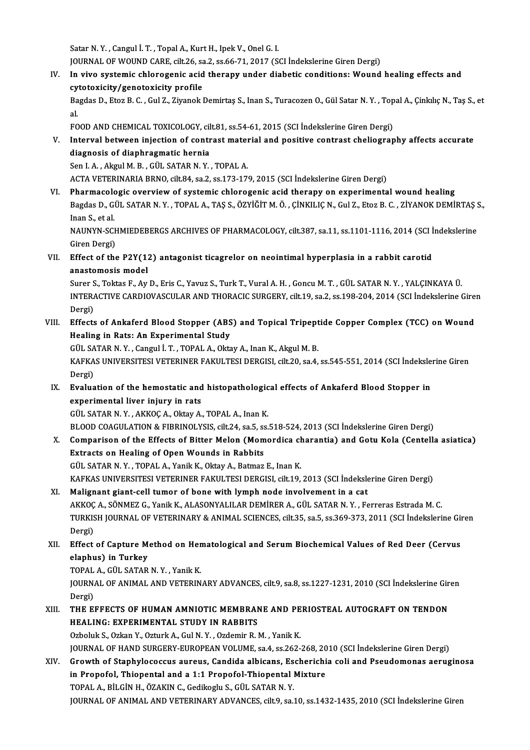Satar N.Y., Cangul İ.T., Topal A., Kurt H., Ipek V., Onel G. I.

JOURNALOFWOUNDCARE, cilt.26, sa.2, ss.66-71,2017 (SCI İndekslerineGirenDergi)

Satar N. Y. , Cangul İ. T. , Topal A., Kurt H., Ipek V., Onel G. I.<br>JOURNAL OF WOUND CARE, cilt.26, sa.2, ss.66-71, 2017 (SCI İndekslerine Giren Dergi)<br>IV. In vivo systemic chlorogenic acid therapy under diabetic condition JOURNAL OF WOUND CARE, cilt.26, sa<br>In vivo systemic chlorogenic acid<br>cytotoxicity/genotoxicity profile<br>Pegdee D. Fter B. C. Cul Z. Zivenek In vivo systemic chlorogenic acid therapy under diabetic conditions: Wound healing effects and<br>cytotoxicity/genotoxicity profile<br>Bagdas D., Etoz B. C. , Gul Z., Ziyanok Demirtaş S., Inan S., Turacozen O., Gül Satar N. Y. ,

cy<br>Ba<br>al. Bagdas D., Etoz B. C. , Gul Z., Ziyanok Demirtaş S., Inan S., Turacozen O., Gül Satar N. Y. , Topal A., Çinkılıç N., Taş S., et<br>al.

FOOD AND CHEMICAL TOXICOLOGY, cilt.81, ss.54-61, 2015 (SCI Indekslerine Giren Dergi)

V. Interval between injection of contrast material and positive contrast cheliography affects accurate diagnosis of diaphragmatic hernia

Sen I. A., Akgul M. B., GÜL SATAR N. Y., TOPAL A.

ACTAVETERINARIABRNO, cilt.84, sa.2, ss.173-179,2015 (SCI İndekslerineGirenDergi)

VI. Pharmacologic overviewof systemic chlorogenic acid therapy on experimentalwound healing ACTA VETERINARIA BRNO, cilt.84, sa.2, ss.173-179, 2015 (SCI İndekslerine Giren Dergi)<br><mark>Pharmacologic overview of systemic chlorogenic acid therapy on experimental wound healing</mark><br>Bagdas D., GÜL SATAR N. Y. , TOPAL A., TAŞ S P<mark>harmacolo</mark><br>Bagdas D., G<br>Inan S., et al.<br>NAUNVN SCI Bagdas D., GÜL SATAR N. Y. , TOPAL A., TAŞ S., ÖZYİĞİT M. Ö. , ÇİNKILIÇ N., Gul Z., Etoz B. C. , ZİYANOK DEMİRTAŞ :<br>Inan S., et al.<br>NAUNYN-SCHMIEDEBERGS ARCHIVES OF PHARMACOLOGY, cilt.387, sa.11, ss.1101-1116, 2014 (SCI İn

Inan S., et al.<br>NAUNYN-SCHMIEDEBERGS ARCHIVES OF PHARMACOLOGY, cilt.387, sa.11, ss.1101-1116, 2014 (SCI İndekslerine<br>Giren Dergi) NAUNYN-SCHMIEDEBERGS ARCHIVES OF PHARMACOLOGY, cilt.387, sa.11, ss.1101-1116, 2014 (SCI İ<br>Giren Dergi)<br>VII. Effect of the P2Y(12) antagonist ticagrelor on neointimal hyperplasia in a rabbit carotid<br>anostomogis model

Giren Dergi)<br>Effect of the P2Y(1)<br>anastomosis model<br>Surer S. Tektes E. Av. Effect of the P2Y(12) antagonist ticagrelor on neointimal hyperplasia in a rabbit carotid<br>anastomosis model<br>Surer S., Toktas F., Ay D., Eris C., Yavuz S., Turk T., Vural A. H. , Goncu M. T. , GÜL SATAR N. Y. , YALÇINKAYA Ü

anastomosis model<br>Surer S., Toktas F., Ay D., Eris C., Yavuz S., Turk T., Vural A. H. , Goncu M. T. , GÜL SATAR N. Y. , YALÇINKAYA Ü.<br>INTERACTIVE CARDIOVASCULAR AND THORACIC SURGERY, cilt.19, sa.2, ss.198-204, 2014 (SCI İn Surer S<br>INTERA<br>Dergi)<br>Effects INTERACTIVE CARDIOVASCULAR AND THORACIC SURGERY, cilt.19, sa.2, ss.198-204, 2014 (SCI İndekslerine Gire<br>Dergi)<br>VIII. Effects of Ankaferd Blood Stopper (ABS) and Topical Tripeptide Copper Complex (TCC) on Wound<br>Healing in P

## Dergi)<br>VIII. Effects of Ankaferd Blood Stopper (ABS) and Topical Tripeptide Copper Complex (TCC) on Wound<br>Healing in Rats: An Experimental Study Effects of Ankaferd Blood Stopper (ABS) and Topical Tripept<br>Healing in Rats: An Experimental Study<br>GÜL SATAR N.Y., Cangul İ.T., TOPAL A., Oktay A., Inan K., Akgul M. B.<br>KARKAS UNIVERSITESI VETERINER FAKIH TESI DERCISI cilt

Healing in Rats: An Experimental Study<br>GÜL SATAR N. Y. , Cangul İ. T. , TOPAL A., Oktay A., Inan K., Akgul M. B.<br>KAFKAS UNIVERSITESI VETERINER FAKULTESI DERGISI, cilt.20, sa.4, ss.545-551, 2014 (SCI İndekslerine Giren<br>Derg GÜL SA<br>KAFKA<br>Dergi)<br>Evalua KAFKAS UNIVERSITESI VETERINER FAKULTESI DERGISI, cilt.20, sa.4, ss.545-551, 2014 (SCI İndeksle<br>Dergi)<br>IX. Evaluation of the hemostatic and histopathological effects of Ankaferd Blood Stopper in<br>Ally avanimental liver injur

# Dergi)<br>IX. Evaluation of the hemostatic and histopathological effects of Ankaferd Blood Stopper in<br>experimental liver injury in rats experimental liver injury in rats<br>GÜL SATAR N. Y. , AKKOÇ A., Oktay A., TOPAL A., Inan K.<br>BLOOD COAGULATION & FIBRINOLYSIS, cilt.24, sa.5, ss.518-524, 2013 (SCI İndekslerine Giren Dergi)<br>Comparison of the Effects of Bitter

GÜL SATAR N.Y., AKKOÇ A., Oktay A., TOPAL A., Inan K.

GÜL SATAR N. Y. , AKKOÇ A., Oktay A., TOPAL A., Inan K.<br>BLOOD COAGULATION & FIBRINOLYSIS, cilt.24, sa.5, ss.518-524, 2013 (SCI İndekslerine Giren Dergi)<br>X. Comparison of the Effects of Bitter Melon (Momordica charantia) an BLOOD COAGULATION & FIBRINOLYSIS, cilt.24, sa.5, so<br>Comparison of the Effects of Bitter Melon (Mom<br>Extracts on Healing of Open Wounds in Rabbits<br>C<sup>ill SATAR N.V.</sub> TORAL A. Vanil: K. Oltay A. Batmar</sup> Comparison of the Effects of Bitter Melon (Momordica checktracts on Healing of Open Wounds in Rabbits<br>GÜL SATAR N.Y., TOPAL A., Yanik K., Oktay A., Batmaz E., Inan K.<br>KAEKAS UNIVERSITESI VETERINER FAKULTESI DERCISI cik 19

Extracts on Healing of Open Wounds in Rabbits<br>GÜL SATAR N. Y. , TOPAL A., Yanik K., Oktay A., Batmaz E., Inan K.<br>KAFKAS UNIVERSITESI VETERINER FAKULTESI DERGISI, cilt.19, 2013 (SCI İndekslerine Giren Dergi)

XI. Malignant giant-cel tumor of bone with lymph node involvement in a cat KAFKAS UNIVERSITESI VETERINER FAKULTESI DERGISI, cilt.19, 2013 (SCI İndekslerine Giren Dergi)<br>Malignant giant-cell tumor of bone with lymph node involvement in a cat<br>AKKOÇ A., SÖNMEZ G., Yanik K., ALASONYALILAR DEMİRER A., TURKISH JOURNAL OF VETERINARY & ANIMAL SCIENCES, cilt.35, sa.5, ss.369-373, 2011 (SCI İndekslerine Giren<br>Dergi) AKKOÇ<br>TURKIS<br>Dergi)<br>Effect TURKISH JOURNAL OF VETERINARY & ANIMAL SCIENCES, cilt.35, sa.5, ss.369-373, 2011 (SCI İndekslerine Gir<br>Dergi)<br>XII. Effect of Capture Method on Hematological and Serum Biochemical Values of Red Deer (Cervus<br>Alaphus) in Turk

# Dergi)<br>Effect of Capture M<br>elaphus) in Turkey<br>TOBAL A CÜL SATAR Effect of Capture Method on Her<br>elaphus) in Turkey<br>TOPAL A., GÜL SATAR N.Y. , Yanik K.<br>JOUPNAL OF ANIMAL AND VETERIN

elaphus) in Turkey<br>TOPAL A., GÜL SATAR N. Y. , Yanik K.<br>JOURNAL OF ANIMAL AND VETERINARY ADVANCES, cilt.9, sa.8, ss.1227-1231, 2010 (SCI İndekslerine Giren<br>Persî) TOPAL A., GÜL SATAR N. Y. , Yanik K.<br>JOURNAL OF ANIMAL AND VETERIN.<br>Dergi) JOURNAL OF ANIMAL AND VETERINARY ADVANCES, cilt.9, sa.8, ss.1227-1231, 2010 (SCI Indekslerine Gir<br>Dergi)<br>XIII. THE EFFECTS OF HUMAN AMNIOTIC MEMBRANE AND PERIOSTEAL AUTOGRAFT ON TENDON<br>HEALING: EVPERIMENTAL STUDY IN BARRIT

## Dergi)<br>THE EFFECTS OF HUMAN AMNIOTIC MEMBRAN<br>HEALING: EXPERIMENTAL STUDY IN RABBITS<br>Orbeluk S. Orkan V. Orturk A. Gul N. V., Ordemin B. I THE EFFECTS OF HUMAN AMNIOTIC MEMBRANE AND PE<br>HEALING: EXPERIMENTAL STUDY IN RABBITS<br>Ozboluk S., Ozkan Y., Ozturk A., Gul N.Y. , Ozdemir R.M. , Yanik K.<br>JOUPMAL OF HAND SUBCERY FUBOREAN VOLUME 82 4, 82 362 HEALING: EXPERIMENTAL STUDY IN RABBITS<br>Ozboluk S., Ozkan Y., Ozturk A., Gul N. Y. , Ozdemir R. M. , Yanik K.<br>JOURNAL OF HAND SURGERY-EUROPEAN VOLUME, sa.4, ss.262-268, 2010 (SCI İndekslerine Giren Dergi)<br>Croyuth of Stanbyl Ozboluk S., Ozkan Y., Ozturk A., Gul N. Y. , Ozdemir R. M. , Yanik K.<br>JOURNAL OF HAND SURGERY-EUROPEAN VOLUME, sa.4, ss.262-268, 2010 (SCI İndekslerine Giren Dergi)<br>XIV. Growth of Staphylococcus aureus, Candida albicans, E

### JOURNAL OF HAND SURGERY-EUROPEAN VOLUME, sa.4, ss.262-268, 20<br>Growth of Staphylococcus aureus, Candida albicans, Escherichi<br>in Propofol, Thiopental and a 1:1 Propofol-Thiopental Mixture<br>TOPAL A, BU CIN H, ÖZAKING Godilagu: Growth of Staphylococcus aureus, Candida albicans, Es<br>in Propofol, Thiopental and a 1:1 Propofol-Thiopental I<br>TOPAL A., BİLGİN H., ÖZAKIN C., Gedikoglu S., GÜL SATAR N. Y.<br>JOUPNAL OF ANIMAL AND VETERINARY ADVANCES. SÜL 9.3 in Propofol, Thiopental and a 1:1 Propofol-Thiopental Mixture<br>TOPAL A., BİLGİN H., ÖZAKIN C., Gedikoglu S., GÜL SATAR N. Y.<br>JOURNAL OF ANIMAL AND VETERINARY ADVANCES, cilt.9, sa.10, ss.1432-1435, 2010 (SCI İndekslerine Gir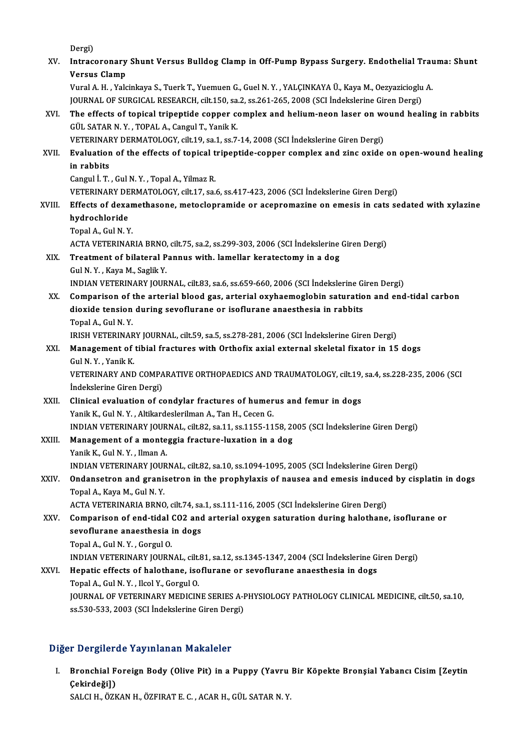|                 | Dergi)                                                                                                                                                      |
|-----------------|-------------------------------------------------------------------------------------------------------------------------------------------------------------|
| XV.<br>XVI.     | Intracoronary Shunt Versus Bulldog Clamp in Off-Pump Bypass Surgery. Endothelial Trauma: Shunt                                                              |
|                 | Versus Clamp<br>Vural A. H., Yalcinkaya S., Tuerk T., Yuemuen G., Guel N. Y., YALÇINKAYA Ü., Kaya M., Oezyazicioglu A.                                      |
|                 | JOURNAL OF SURGICAL RESEARCH, cilt.150, sa.2, ss.261-265, 2008 (SCI Indekslerine Giren Dergi)                                                               |
|                 | The effects of topical tripeptide copper complex and helium-neon laser on wound healing in rabbits                                                          |
|                 | GÜL SATAR N.Y., TOPAL A., Cangul T., Yanik K.                                                                                                               |
|                 | VETERINARY DERMATOLOGY, cilt.19, sa.1, ss.7-14, 2008 (SCI İndekslerine Giren Dergi)                                                                         |
| XVII.           | Evaluation of the effects of topical tripeptide-copper complex and zinc oxide on open-wound healing                                                         |
|                 | in rabbits                                                                                                                                                  |
|                 | Cangul İ. T., Gul N. Y., Topal A., Yilmaz R.                                                                                                                |
|                 | VETERINARY DERMATOLOGY, cilt.17, sa.6, ss.417-423, 2006 (SCI Indekslerine Giren Dergi)                                                                      |
| XVIII.          | Effects of dexamethasone, metoclopramide or acepromazine on emesis in cats sedated with xylazine                                                            |
|                 | hydrochloride                                                                                                                                               |
|                 | Topal A., Gul N.Y.                                                                                                                                          |
|                 | ACTA VETERINARIA BRNO, cilt.75, sa.2, ss.299-303, 2006 (SCI İndekslerine Giren Dergi)                                                                       |
| XIX.            | Treatment of bilateral Pannus with. lamellar keratectomy in a dog                                                                                           |
|                 | Gul N.Y., Kaya M., Saglik Y.                                                                                                                                |
|                 | INDIAN VETERINARY JOURNAL, cilt.83, sa.6, ss.659-660, 2006 (SCI İndekslerine Giren Dergi)                                                                   |
| XX.             | Comparison of the arterial blood gas, arterial oxyhaemoglobin saturation and end-tidal carbon                                                               |
|                 | dioxide tension during sevoflurane or isoflurane anaesthesia in rabbits                                                                                     |
|                 | Topal A., Gul N.Y.                                                                                                                                          |
|                 | IRISH VETERINARY JOURNAL, cilt.59, sa.5, ss.278-281, 2006 (SCI İndekslerine Giren Dergi)                                                                    |
| XXI.            | Management of tibial fractures with Orthofix axial external skeletal fixator in 15 dogs                                                                     |
|                 | Gul N Y, Yanik K                                                                                                                                            |
|                 | VETERINARY AND COMPARATIVE ORTHOPAEDICS AND TRAUMATOLOGY, cilt.19, sa.4, ss.228-235, 2006 (SCI                                                              |
|                 | İndekslerine Giren Dergi)                                                                                                                                   |
| XXII.<br>XXIII. | Clinical evaluation of condylar fractures of humerus and femur in dogs                                                                                      |
|                 | Yanik K., Gul N.Y., Altikardeslerilman A., Tan H., Cecen G.<br>INDIAN VETERINARY JOURNAL, cilt.82, sa.11, ss.1155-1158, 2005 (SCI Indekslerine Giren Dergi) |
|                 | Management of a monteggia fracture-luxation in a dog                                                                                                        |
|                 | Yanik K., Gul N. Y., Ilman A.                                                                                                                               |
|                 | INDIAN VETERINARY JOURNAL, cilt.82, sa.10, ss.1094-1095, 2005 (SCI İndekslerine Giren Dergi)                                                                |
| XXIV.           | Ondansetron and granisetron in the prophylaxis of nausea and emesis induced by cisplatin in dogs                                                            |
|                 | Topal A., Kaya M., Gul N.Y.                                                                                                                                 |
|                 | ACTA VETERINARIA BRNO, cilt.74, sa.1, ss.111-116, 2005 (SCI İndekslerine Giren Dergi)                                                                       |
| XXV.            | Comparison of end-tidal CO2 and arterial oxygen saturation during halothane, isoflurane or                                                                  |
|                 | sevoflurane anaesthesia in dogs                                                                                                                             |
|                 | Topal A., Gul N.Y., Gorgul O.                                                                                                                               |
|                 | INDIAN VETERINARY JOURNAL, cilt.81, sa.12, ss.1345-1347, 2004 (SCI İndekslerine Giren Dergi)                                                                |
| XXVI.           | Hepatic effects of halothane, isoflurane or sevoflurane anaesthesia in dogs                                                                                 |
|                 | Topal A., Gul N.Y., Ilcol Y., Gorgul O.                                                                                                                     |
|                 | JOURNAL OF VETERINARY MEDICINE SERIES A-PHYSIOLOGY PATHOLOGY CLINICAL MEDICINE, cilt.50, sa.10,                                                             |
|                 | ss 530-533, 2003 (SCI İndekslerine Giren Dergi)                                                                                                             |
|                 |                                                                                                                                                             |

#### Diğer Dergilerde Yayınlanan Makaleler

iğer Dergilerde Yayınlanan Makaleler<br>I. Bronchial Foreign Body (Olive Pit) in a Puppy (Yavru Bir Köpekte Bronşial Yabancı Cisim [Zeytin<br>Cekindežil) r Bergirek<br>Bronchial F<br>Çekirdeği])<br>SALCLH ÖZE Çekirdeği])<br>SALCI H., ÖZKAN H., ÖZFIRAT E. C. , ACAR H., GÜL SATAR N. Y.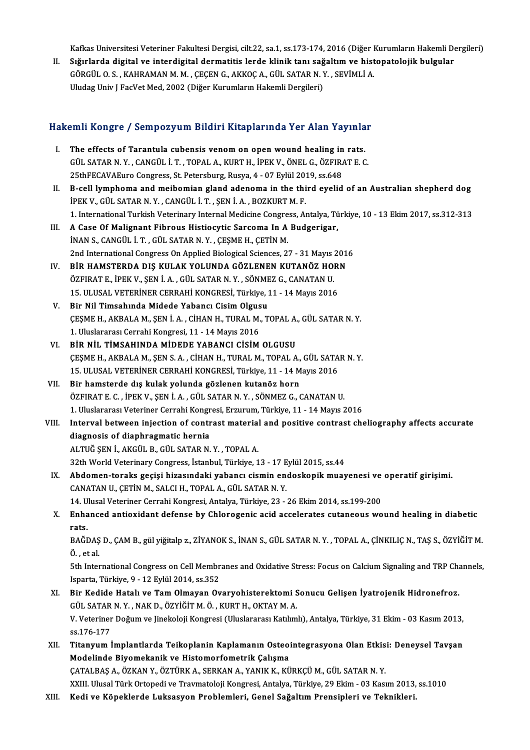Kafkas Universitesi Veteriner Fakultesi Dergisi, cilt.22, sa.1, ss.173-174, 2016 (Diğer Kurumların Hakemli Dergileri)<br>Sığırlarda digitel ve intendigitel dermetitis lende klipik tapı seğeltım ve bistenatelejik bulgular

Kafkas Universitesi Veteriner Fakultesi Dergisi, cilt.22, sa.1, ss.173-174, 2016 (Diğer Kurumların Hakemli De<br>II. Sığırlarda digital ve interdigital dermatitis lerde klinik tanı sağaltım ve histopatolojik bulgular<br>CÖRCÜLOS Kafkas Universitesi Veteriner Fakultesi Dergisi, cilt.22, sa.1, ss.173-174, 2016 (Diğer I<br>Sığırlarda digital ve interdigital dermatitis lerde klinik tanı sağaltım ve hist<br>GÖRGÜL O. S. , KAHRAMAN M. M. , ÇEÇEN G., AKKOÇ A., II. Sığırlarda digital ve interdigital dermatitis lerde klinik tanı sağaltım ve histopatolojik bulgular<br>GÖRGÜL O.S., KAHRAMAN M. M. , ÇEÇEN G., AKKOÇ A., GÜL SATAR N. Y. , SEVİMLİ A.<br>Uludag Univ J FacVet Med, 2002 (Diğer

# uludag Univ j racvet Med, 2002 (Diger Kurumların Hakemli Dergueri)<br>Hakemli Kongre / Sempozyum Bildiri Kitaplarında Yer Alan Yayınlar

- akemli Kongre / Sempozyum Bildiri Kitaplarında Yer Alan Yayınla<br>I. The effects of Tarantula cubensis venom on open wound healing in rats.<br>CÜLSATARN V. CANCÜLLT, TORALA, KURTH, İDEK V. ÖNELG, ÖZEIRATE C. SATA ROLLEY JOSIN POZIJ UM D'AUTA REUPARTEUR TOT TRUR TUJ INITI.<br>The effects of Tarantula cubensis venom on open wound healing in rats.<br>GÜL SATAR N.Y., CANGÜL İ.T., TOPAL A., KURT H., İPEK V., ÖNEL G., ÖZFIRAT E. C. The effects of Tarantula cubensis venom on open wound healing in<br>GÜL SATAR N.Y., CANGÜL İ.T., TOPAL A., KURT H., İPEK V., ÖNEL G., ÖZFIR.<br>25thFECAVAEuro Congress, St. Petersburg, Rusya, 4 - 07 Eylül 2019, ss.648<br>B. call ly GÜL SATAR N.Y., CANGÜL İ.T., TOPAL A., KURT H., İPEK V., ÖNEL G., ÖZFIRAT E. C.<br>25thFECAVAEuro Congress, St. Petersburg, Rusya, 4 - 07 Eylül 2019, ss.648<br>II. B-cell lymphoma and meibomian gland adenoma in the third eyelid
- 25thFECAVAEuro Congress, St. Petersburg, Rusya, 4 07 Eylül 20:<br>B-cell lymphoma and meibomian gland adenoma in the thi<br>İPEK V., GÜL SATAR N.Y., CANGÜL İ.T., ŞEN İ.A., BOZKURT M.F.<br>1. International Turkish Veterinary Inter 1. B-cell lymphoma and meibomian gland adenoma in the third eyelid of an Australian shepherd dog<br>IPEK V., GÜL SATAR N. Y. , CANGÜL İ. T. , ŞEN İ. A. , BOZKURT M. F.<br>1. International Turkish Veterinary Internal Medicine Con IPEK V., GÜL SATAR N. Y. , CANGÜL İ. T. , ŞEN İ. A. , BOZKURT M. F.<br>1. International Turkish Veterinary Internal Medicine Congress, Antalya, Türkiye, 10 - 13 Ekim 2017, ss.312-313<br>III. A Case Of Malignant Fibrous Histi
- İNAN S., CANGÜL İ. T., GÜL SATAR N.Y., ÇEŞME H., ÇETİN M. A Case Of Malignant Fibrous Histiocytic Sarcoma In A Budgerigar,<br>İNAN S., CANGÜL İ. T. , GÜL SATAR N. Y. , ÇEŞME H., ÇETİN M.<br>2nd International Congress On Applied Biological Sciences, 27 - 31 Mayıs 2016<br>PİR HAMSTERDA DIS INAN S., CANGÜL I. T. , GÜL SATAR N. Y. , ÇEŞME H., ÇETİN M.<br>2nd International Congress On Applied Biological Sciences, 27 - 31 Mayıs 201<br>IV. BİR HAMSTERDA DIŞ KULAK YOLUNDA GÖZLENEN KUTANÖZ HORN<br>ÖZELPAT E İDEK V. SEN İ.A.
- 2nd International Congress On Applied Biological Sciences, 27 31 Mayıs :<br>**BİR HAMSTERDA DIŞ KULAK YOLUNDA GÖZLENEN KUTANÖZ HO**<br>ÖZFIRAT E., İPEK V., ŞEN İ. A. , GÜL SATAR N. Y. , SÖNMEZ G., CANATAN U.<br>15 JU USAL VETERİNER IV. BIR HAMSTERDA DIŞ KULAK YOLUNDA GÖZLENEN KUTANÖZ HORN<br>ÖZFIRAT E., İPEK V., ŞEN İ. A. , GÜL SATAR N. Y. , SÖNMEZ G., CANATAN U.<br>15. ULUSAL VETERİNER CERRAHİ KONGRESİ, Türkiye, 11 - 14 Mayıs 2016 ÖZFIRAT E., İPEK V., ŞEN İ. A. , GÜL SATAR N. Y. , SÖNME<br>15. ULUSAL VETERİNER CERRAHİ KONGRESİ, Türkiye, 1<br>V. Bir Nil Timsahında Midede Yabancı Cisim Olgusu<br>CESME HAKPALAMASENİ A. CİHANH TURALMAT
- ÇEŞME H., AKBALA M., ŞEN İ. A. , CİHAN H., TURAL M., TOPAL A., GÜL SATAR N. Y.<br>1. Uluslararası Cerrahi Kongresi, 11 14 Mayıs 2016 Bir Nil Timsahında Midede Yabancı Cisim Olgus<br>ÇEŞME H., AKBALA M., ŞEN İ. A. , CİHAN H., TURAL M.<br>1. Uluslararası Cerrahi Kongresi, 11 - 14 Mayıs 2016<br>Pip Nil TimsAHINDA MiDEDE YABANCI CİSİM
- VI. BİR NİL TİMSAHINDA MİDEDE YABANCI CİSİM OLGUSU 1. Uluslararası Cerrahi Kongresi, 11 - 14 Mayıs 2016<br>BİR NİL TİMSAHINDA MİDEDE YABANCI CİSİM OLGUSU<br>ÇEŞME H., AKBALA M., ŞEN S. A. , CİHAN H., TURAL M., TOPAL A., GÜL SATAR N. Y.<br>15. III USAL VETERİNER GERRAHİ KONGRESİ Tür BİR NİL TİMSAHINDA MİDEDE YABANCI CİSİM OLGUSU<br>ÇEŞME H., AKBALA M., ŞEN S. A. , CİHAN H., TURAL M., TOPAL A., GÜL SATA<br>15. ULUSAL VETERİNER CERRAHİ KONGRESİ, Türkiye, 11 - 14 Mayıs 2016<br>Bir bamatarda dış kulak yalunda gözl CESME H., AKBALA M., SEN S. A., CİHAN H., TURAL M., TOPAL A.,<br>15. ULUSAL VETERİNER CERRAHİ KONGRESİ, Türkiye, 11 - 14 M<br>VII. Bir hamsterde dış kulak yolunda gözlenen kutanöz horn<br>ÖZEIRAT E.G., İREK V., SEN İ.A., CÜL SATAR
- 15. ULUSAL VETERİNER CERRAHİ KONGRESİ, Türkiye, 11 14 Mayıs 2016<br>Bir hamsterde dış kulak yolunda gözlenen kutanöz horn<br>ÖZFIRAT E. C. , İPEK V., ŞEN İ. A. , GÜL SATAR N. Y. , SÖNMEZ G., CANATAN U.<br>1. Uluslaransa Veteriner Bir hamsterde dış kulak yolunda gözlenen kutanöz horn<br>ÖZFIRAT E. C. , İPEK V., ŞEN İ. A. , GÜL SATAR N. Y. , SÖNMEZ G., CANATAN U.<br>1. Uluslararası Veteriner Cerrahi Kongresi, Erzurum, Türkiye, 11 - 14 Mayıs 2016
- ÖZFIRAT E. C. , İPEK V., ŞEN İ. A. , GÜL SATAR N. Y. , SÖNMEZ G., CANATAN U.<br>1. Uluslararası Veteriner Cerrahi Kongresi, Erzurum, Türkiye, 11 14 Mayıs 2016<br>VIII. 11 Interval between injection of contrast material and pos 1. Uluslararası Veteriner Cerrahi Kongr<br>Interval between injection of contr<br>diagnosis of diaphragmatic hernia<br>ALTUČ SEN İ. AKÇÜL B. CÜL SATAR N diagnosis of diaphragmatic hernia<br>ALTUĞ ŞEN İ., AKGÜL B., GÜL SATAR N.Y. , TOPAL A.
	-

32th World Veterinary Congress, İstanbul, Türkiye, 13 - 17 Eylül 2015, ss.44

ALTUĞ ŞEN İ., AKGÜL B., GÜL SATAR N. Y. , TOPAL A.<br>32th World Veterinary Congress, İstanbul, Türkiye, 13 - 17 Eylül 2015, ss.44<br>IX. Abdomen-toraks geçişi hizasındaki yabancı cismin endoskopik muayenesi ve operatif girişimi 32th World Veterinary Congress, İstanbul, Türkiye, 13 - 17 E<br>**Abdomen-toraks geçişi hizasındaki yabancı cismin en**<br>CANATAN U., ÇETİN M., SALCI H., TOPAL A., GÜL SATAR N. Y.<br>14 Hlusel Veterinar Carrabi Kanaresi, Antalya Tür Abdomen-toraks geçişi hizasındaki yabancı cismin endoskopik muayenesi ve<br>CANATAN U., ÇETİN M., SALCI H., TOPAL A., GÜL SATAR N. Y.<br>14. Ulusal Veteriner Cerrahi Kongresi, Antalya, Türkiye, 23 - 26 Ekim 2014, ss.199-200<br>Enha

14. Ulusal Veteriner Cerrahi Kongresi, Antalya, Türkiye, 23 - 26 Ekim 2014, ss.199-200

CANATAN U., ÇETİN M., SALCI H., TOPAL A., GÜL SATAR N. Y.<br>14. Ulusal Veteriner Cerrahi Kongresi, Antalya, Türkiye, 23 - 26 Ekim 2014, ss.199-200<br>X. Enhanced antioxidant defense by Chlorogenic acid accelerates cutaneous Enhanced antioxidant defense by Chlorogenic acid accelerates cutaneous wound healing in diabetic<br>rats.<br>BAĞDAŞ D., ÇAM B., gül yiğitalp z., ZİYANOK S., İNAN S., GÜL SATAR N. Y. , TOPAL A., ÇİNKILIÇ N., TAŞ S., ÖZYİĞİT M.<br>Ö.

r<mark>ats</mark><br>BAĞDAŞ<br>Ö., et al. BAĞDAŞ D., ÇAM B., gül yiğitalp z., ZİYANOK S., İNAN S., GÜL SATAR N. Y. , TOPAL A., ÇİNKILIÇ N., TAŞ S., ÖZYİĞİT M.<br>Ö. , et al.<br>5th International Congress on Cell Membranes and Oxidative Stress: Focus on Calcium Signaling

Ö. , et al.<br>5th International Congress on Cell Membranes and Oxidative Stress: Focus on Calcium Signaling and TRP Channels,<br>Isparta, Türkiye, 9 - 12 Eylül 2014, ss.352 5th International Congress on Cell Membranes and Oxidative Stress: Focus on Calcium Signaling and TRP Chain Sonata, Türkiye, 9 - 12 Eylül 2014, ss.352<br>XI. Bir Kedide Hatalı ve Tam Olmayan Ovaryohisterektomi Sonucu Gelişen

- Isparta, Türkiye, 9 12 Eylül 2014, ss.352<br>Bir Kedide Hatalı ve Tam Olmayan Ovaryohisterektomi S<br>GÜL SATAR N. Y. , NAK D., ÖZYİĞİT M. Ö. , KURT H., OKTAY M. A.<br>V. Veteriner Değum ve Jinekeleji Kengresi (Uluslarensa Ketlum Bir Kedide Hatalı ve Tam Olmayan Ovaryohisterektomi Sonucu Gelişen İyatrojenik Hidronefroz.<br>GÜL SATAR N.Y., NAK D., ÖZYİĞİT M. Ö. , KURT H., OKTAY M. A.<br>V. Veteriner Doğum ve Jinekoloji Kongresi (Uluslararası Katılımlı), A GÜL SATAR<br>V. Veteriner<br>ss.176-177<br>Titanuum l V. Veteriner Doğum ve Jinekoloji Kongresi (Uluslararası Katılımlı), Antalya, Türkiye, 31 Ekim - 03 Kasım 2013,<br>176-177<br>XII. Titanyum İmplantlarda Teikoplanin Kaplamanın Osteointegrasyona Olan Etkisi: Deneysel Tavşan<br>Mo
- ss.176-177<br>XII. Titanyum İmplantlarda Teikoplanin Kaplamanın Osteointegrasyona Olan Etkisi: Deneysel Tavşan<br>Modelinde Biyomekanik ve Histomorfometrik Çalışma ÇATALBAŞA.,ÖZKANY.,ÖZTÜRKA.,SERKANA.,YANIKK.,KÜRKÇÜM.,GÜL SATARN.Y.

XXIII. Ulusal Türk Ortopedi ve Travmatoloji Kongresi, Antalya, Türkiye, 29 Ekim - 03 Kasım 2013, ss.1010

XIII. Kedi ve Köpeklerde Luksasyon Problemleri, Genel Sağaltım Prensipleri ve Teknikleri.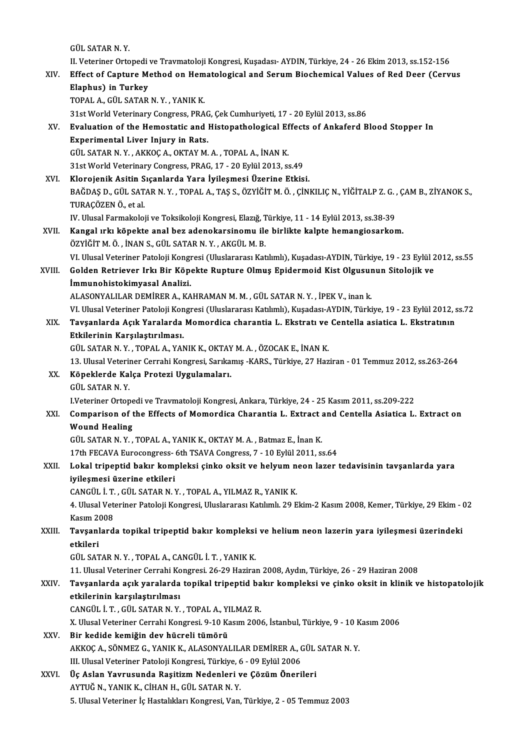GÜL SATARN.Y.

II. Veteriner Ortopedi ve Travmatoloji Kongresi, Kuşadası-AYDIN, Türkiye, 24 - 26 Ekim 2013, ss.152-156

XIV. Effect of Capture Method on Hematological and Serum Biochemical Values of Red Deer (Cervus Elaphus) in Turkey

TOPAL A., GÜL SATAR N.Y., YANIK K.

31st World Veterinary Congress, PRAG, Çek Cumhuriyeti, 17 - 20 Eylül 2013, ss.86

TOPAL A., GÜL SATAR N. Y. , YANIK K.<br>31st World Veterinary Congress, PRAG, Çek Cumhuriyeti, 17 - 20 Eylül 2013, ss.86<br>XV. Evaluation of the Hemostatic and Histopathological Effects of Ankaferd Blood Stopper In<br>Evascime 31st World Veterinary Congress, PRAC<br>Evaluation of the Hemostatic and I<br>Experimental Liver Injury in Rats.<br>CÜL SATAR N V. AKKOC A OKTAV M Experimental Liver Injury in Rats.<br>GÜL SATAR N.Y., AKKOÇ A., OKTAY M. A., TOPAL A., İNAN K. Experimental Liver Injury in Rats.<br>GÜL SATAR N. Y. , AKKOÇ A., OKTAY M. A. , TOPAL A., İNAN K.<br>31st World Veterinary Congress, PRAG, 17 - 20 Eylül 2013, ss.49<br>Klarajanik Asitin Sıcaplarda Yara İyilesmesi Üzerine Etkis

GÜL SATAR N.Y., AKKOÇ A., OKTAY M. A., TOPAL A., İNAN K.<br>31st World Veterinary Congress, PRAG, 17 - 20 Eylül 2013, ss.49<br>XVI. Klorojenik Asitin Sıçanlarda Yara İyileşmesi Üzerine Etkisi.<br>PAČDAS D. CÜL SATAR N.Y., TORAL A. Klorojenik Asitin Sıçanlarda Yara İyileşmesi Üzerine Etkisi.<br>BAĞDAŞ D., GÜL SATAR N. Y. , TOPAL A., TAŞ S., ÖZYİĞİT M. Ö. , ÇİNKILIÇ N., YİĞİTALP Z. G. , ÇAM B., ZİYANOK S TURAÇÖZEN Ö., et al. BAĞDAŞ D., GÜL SATAR N. Y. , TOPAL A., TAŞ S., ÖZYİĞİT M. Ö. , ÇİNKILIÇ N., YİĞİTALP Z. G. ,<br>TURAÇÖZEN Ö., et al.<br>IV. Ulusal Farmakoloji ve Toksikoloji Kongresi, Elazığ, Türkiye, 11 - 14 Eylül 2013, ss.38-39<br>Kangal ırlı, k

TURAÇÖZEN Ö., et al.<br>IV. Ulusal Farmakoloji ve Toksikoloji Kongresi, Elazığ, Türkiye, 11 - 14 Eylül 2013, ss.38-39<br>XVII. Kangal ırkı köpekte anal bez adenokarsinomu ile birlikte kalpte hemangiosarkom.<br>ÖZVİČİTMÖ İNANS, IV. Ulusal Farmakoloji ve Toksikoloji Kongresi, Elazığ, T<br>**Kangal ırkı köpekte anal bez adenokarsinomu ile**<br>ÖZYİĞİT M. Ö. , İNAN S., GÜL SATAR N. Y. , AKGÜL M. B.<br>W. Ulusal Vetarinar Pataloji Kongresi (Uluslararesı Kat Kangal ırkı köpekte anal bez adenokarsinomu ile birlikte kalpte hemangiosarkom.<br>ÖZYİĞİT M. Ö. , İNAN S., GÜL SATAR N. Y. , AKGÜL M. B.<br>VI. Ulusal Veteriner Patoloji Kongresi (Uluslararası Katılımlı), Kuşadası-AYDIN, Türkiy ÖZYİĞİT M. Ö. , İNAN S., GÜL SATAR N. Y. , AKGÜL M. B.<br>19 - 23 Eylül 2 VI. Ulusal Veteriner Patoloji Kongresi (Uluslararası Katılımlı), Kuşadası-AYDIN, Türkiye, 19<br>19 - KVIII. Golden Retriever Irkı Bir Köpekte Rupture

VI. Ulusal Veteriner Patoloji Kongi<br>Golden Retriever Irkı Bir Köpe<br>İmmunohistokimyasal Analizi.<br>ALASONYALILAR DEMİRER A. KA Golden Retriever Irkı Bir Köpekte Rupture Olmuş Epidermoid Kist Olgusur<br>İmmunohistokimyasal Analizi.<br>ALASONYALILAR DEMİRER A., KAHRAMAN M. M. , GÜL SATAR N. Y. , İPEK V., inan k.<br>VI Ulusel Veteriner Peteleji Kongresi (Ulus

İ<mark>mmunohistokimyasal Analizi.</mark><br>ALASONYALILAR DEMİRER A., KAHRAMAN M. M. , GÜL SATAR N. Y. , İPEK V., inan k.<br>VI. Ulusal Veteriner Patoloji Kongresi (Uluslararası Katılımlı), Kuşadası-AYDIN, Türkiye, 19 - 23 Eylül 2012, ss.

## ALASONYALILAR DEMİRER A., KAHRAMAN M. M. , GÜL SATAR N. Y. , İPEK V., inan k.<br>VI. Ulusal Veteriner Patoloji Kongresi (Uluslararası Katılımlı), Kuşadası-AYDIN, Türkiye, 19 - 23 Eylül 2012,<br>XIX. Tavşanlarda Açık Yaralard Tavşanlarda Açık Yaralarda Momordica charantia L. Ekstratı ve Centella asiatica L. Ekstratının<br>Etkilerinin Karşılaştırılması. Tavşanlarda Açık Yaralarda Momordica charantia L. Ekstratı ve<br>Etkilerinin Karşılaştırılması.<br>GÜL SATAR N.Y., TOPAL A., YANIK K., OKTAY M.A., ÖZOCAK E., İNAN K.<br>12 Ulucal Veteriner Cerrebi Kongresi Sarılamış, KARS, Türkiye, Etkilerinin Karşılaştırılması.<br>GÜL SATAR N. Y. , TOPAL A., YANIK K., OKTAY M. A. , ÖZOCAK E., İNAN K.<br>13. Ulusal Veteriner Cerrahi Kongresi, Sarıkamış -KARS., Türkiye, 27 Haziran - 01 Temmuz 2012, ss.263-264<br>Köneklerde Kal

# GÜL SATAR N. Y. , TOPAL A., YANIK K., OKTAY<br>13. Ulusal Veteriner Cerrahi Kongresi, Sarıka<br>XX. Köpeklerde Kalça Protezi Uygulamaları.<br>CÜL SATAR N. Y 13. Ulusal Veterii<br>Köpeklerde Ka<br>GÜL SATAR N. Y.<br>Ukteriner Orten

Köpeklerde Kalça Protezi Uygulamaları.<br>GÜL SATAR N. Y.<br>I.Veteriner Ortopedi ve Travmatoloji Kongresi, Ankara, Türkiye, 24 - 25 Kasım 2011, ss.209-222

## GÜL SATAR N. Y.<br>I.Veteriner Ortopedi ve Travmatoloji Kongresi, Ankara, Türkiye, 24 - 25 Kasım 2011, ss.209-222<br>XXI. Comparison of the Effects of Momordica Charantia L. Extract and Centella Asiatica L. Extract on<br>Weund **IVeteriner Ortope<br>Comparison of t<br>Wound Healing** Comparison of the Effects of Momordica Charantia L. Extract :<br>Wound Healing<br>GÜL SATAR N.Y., TOPAL A., YANIK K., OKTAY M.A., Batmaz E., İnan K.<br>17th EECAVA Eurocongress, 6th TSAVA Congress, 7, 10 Erlül 2011, st Wound Healing<br>GÜL SATAR N. Y. , TOPAL A., YANIK K., OKTAY M. A. , Batmaz E., İnan K.<br>17th FECAVA Eurocongress- 6th TSAVA Congress, 7 - 10 Eylül 2011, ss.64<br>Lokal tripoptid bakın kompleksi sinke eksit ve bakıyım nean laran

## GÜL SATAR N. Y., TOPAL A., YANIK K., OKTAY M. A., Batmaz E., İnan K.<br>17th FECAVA Eurocongress- 6th TSAVA Congress, 7 - 10 Eylül 2011, ss.64<br>XXII. Lokal tripeptid bakır kompleksi çinko oksit ve helyum neon lazer tedavis 17th FECAVA Eurocongress-<br>Lokal tripeptid bakır kom<br>iyileşmesi üzerine etkileri<br>CANCÜL İ.T. CÜL SATAR N.Y Lokal tripeptid bakır kompleksi çinko oksit ve helyum n<br>iyileşmesi üzerine etkileri<br>CANGÜL İ. T. , GÜL SATAR N. Y. , TOPAL A., YILMAZ R., YANIK K.<br>4. Ulucel Veteriner Peteleji Kongresi Uluslararesı Katlımlı 20 F

4. Ulusal Veteriner Patoloji Kongresi, Uluslararası Katılımlı. 29 Ekim-2 Kasım 2008, Kemer, Türkiye, 29 Ekim - 02<br>Kasım 2008 CANGÜL İ. T.<br>4. Ulusal Vet<br>Kasım 2008<br>Tavsanlard 4. Ulusal Veteriner Patoloji Kongresi, Uluslararası Katılımlı. 29 Ekim-2 Kasım 2008, Kemer, Türkiye, 29 Ekim -<br>Kasım 2008<br>XXIII. Tavşanlarda topikal tripeptid bakır kompleksi ve helium neon lazerin yara iyileşmesi üzer

## Kasım 20<br><mark>Tavşanl</mark><br>etkileri<br>Cüt SAT Tavşanlarda topikal tripeptid bakır kompleksi<br>etkileri<br>GÜL SATAR N.Y., TOPAL A., CANGÜL İ.T., YANIK K.<br>11 Hlucel Veteriner Cerrebi Kongresi 26.29 Harira etkileri<br>GÜL SATAR N. Y. , TOPAL A., CANGÜL İ. T. , YANIK K.<br>11. Ulusal Veteriner Cerrahi Kongresi. 26-29 Haziran 2008, Aydın, Türkiye, 26 - 29 Haziran 2008<br>Tavçanlarda asık yaralarda tanikal trinantid bakır kompleksi ve s

## GÜL SATAR N. Y. , TOPAL A., CANGÜL İ. T. , YANIK K.<br>11. Ulusal Veteriner Cerrahi Kongresi. 26-29 Haziran 2008, Aydın, Türkiye, 26 - 29 Haziran 2008<br>XXIV. Tavşanlarda açık yaralarda topikal tripeptid bakır kompleksi ve 11. Ulusal Veteriner Cerrahi Ko<br>Tavşanlarda açık yaralarda<br>etkilerinin karşılaştırılması<br>CANCÜL İ.T. CÜL SATAR N.Y. Tavşanlarda açık yaralarda topikal tripeptid ba<br>etkilerinin karşılaştırılması<br>CANGÜL İ. T. , GÜL SATAR N. Y. , TOPAL A., YILMAZ R.<br>Y. Ulucel Veteriner Cerrebi Kongresi 9.10 Kesun 200

etkilerinin karşılaştırılması<br>CANGÜL İ. T. , GÜL SATAR N. Y. , TOPAL A., YILMAZ R.<br>X. Ulusal Veteriner Cerrahi Kongresi. 9-10 Kasım 2006, İstanbul, Türkiye, 9 - 10 Kasım 2006<br>Bir kedide kemiğin dev hücreli tümörü CANGÜL İ. T. , GÜL SATAR N. Y. , TOPAL A., YILMAZ R.<br>X. Ulusal Veteriner Cerrahi Kongresi. 9-10 Kasım 200<br>XXV. Bir kedide kemiğin dev hücreli tümörü X. Ulusal Veteriner Cerrahi Kongresi. 9-10 Kasım 2006, İstanbul, Türkiye, 9 - 10 K<br>Bir kedide kemiğin dev hücreli tümörü<br>AKKOÇ A., SÖNMEZ G., YANIK K., ALASONYALILAR DEMİRER A., GÜL SATAR N. Y.<br>III Illusal Veteriner Patala

Bir kedide kemiğin dev hücreli tümörü<br>AKKOÇ A., SÖNMEZ G., YANIK K., ALASONYALILAR DEMİRER A., (<br>III. Ulusal Veteriner Patoloji Kongresi, Türkiye, 6 - 09 Eylül 2006<br>Üs Aslan Yayımanında Basitizm Nadanlari ve Gözüm Öneri

AKKOÇ A., SÖNMEZ G., YANIK K., ALASONYALILAR DEMİRER A., GÜL<br>III. Ulusal Veteriner Patoloji Kongresi, Türkiye, 6 - 09 Eylül 2006<br>XXVI. Üç Aslan Yavrusunda Raşitizm Nedenleri ve Çözüm Önerileri<br>AVTUĞ N. YANIK K. CİHAN H. GÜ III. Ulusal Veteriner Patoloji Kongresi, Türkiye, 6 - 09 Eylül 2006<br>Üç Aslan Yavrusunda Raşitizm Nedenleri ve Çözüm Önerileri<br>AYTUĞ N., YANIK K., CİHAN H., GÜL SATAR N. Y. 5. Ulusal Veteriner İç Hastalıkları Kongresi, Van, Türkiye, 2 - 05 Temmuz 2003